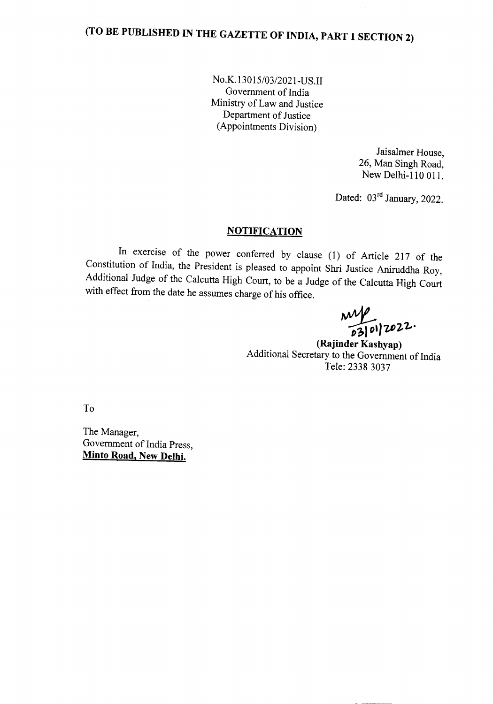No.K.1301*5/03/202* l-US.II Government of India Ministry of Law and Justice Department of Justice (Appointments Division)

> Jaisalmer House, 26, Man Singh Road, New Delhi-l 10 OIl.

Dated: 03<sup>rd</sup> January, 2022.

## **NOTIFICATION**

In exercise of the power conferred by clause (1) of Article 217 of the Constitution of India, the President is pleased to appoint Shri Justice Aniruddha Roy, Additional Judge of the Calcutta High Court, to be a Judge of the Calcutta High Court with effect from the date he assumes charge of his office.

~I) *1112-7-·*

**(Rajinder Kashyap)** Additional Secretary to the Government of India Tele: 2338 3037

To

The Manager, Government of India Press, **Minto Road, New Delhi.**